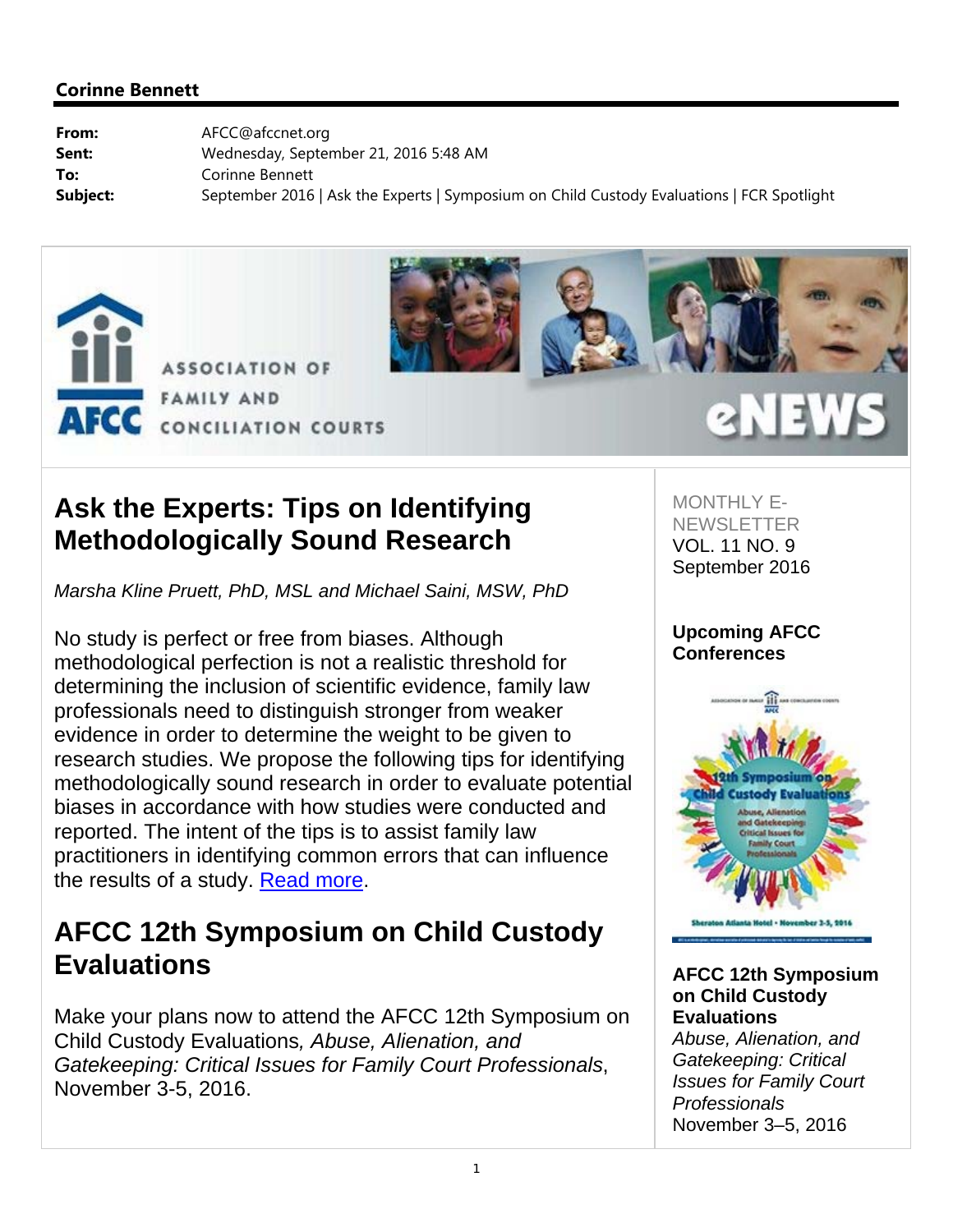



## **Ask the Experts: Tips on Identifying Methodologically Sound Research**

*Marsha Kline Pruett, PhD, MSL and Michael Saini, MSW, PhD* 

No study is perfect or free from biases. Although methodological perfection is not a realistic threshold for determining the inclusion of scientific evidence, family law professionals need to distinguish stronger from weaker evidence in order to determine the weight to be given to research studies. We propose the following tips for identifying methodologically sound research in order to evaluate potential biases in accordance with how studies were conducted and reported. The intent of the tips is to assist family law practitioners in identifying common errors that can influence the results of a study. Read more.

## **AFCC 12th Symposium on Child Custody Evaluations**

Make your plans now to attend the AFCC 12th Symposium on Child Custody Evaluations*, Abuse, Alienation, and Gatekeeping: Critical Issues for Family Court Professionals*, November 3-5, 2016.

MONTHI Y F-**NEWSLETTER** VOL. 11 NO. 9 September 2016

eNEW

### **Upcoming AFCC Conferences**



**AFCC 12th Symposium on Child Custody Evaluations**

*Abuse, Alienation, and Gatekeeping: Critical Issues for Family Court Professionals* November 3–5, 2016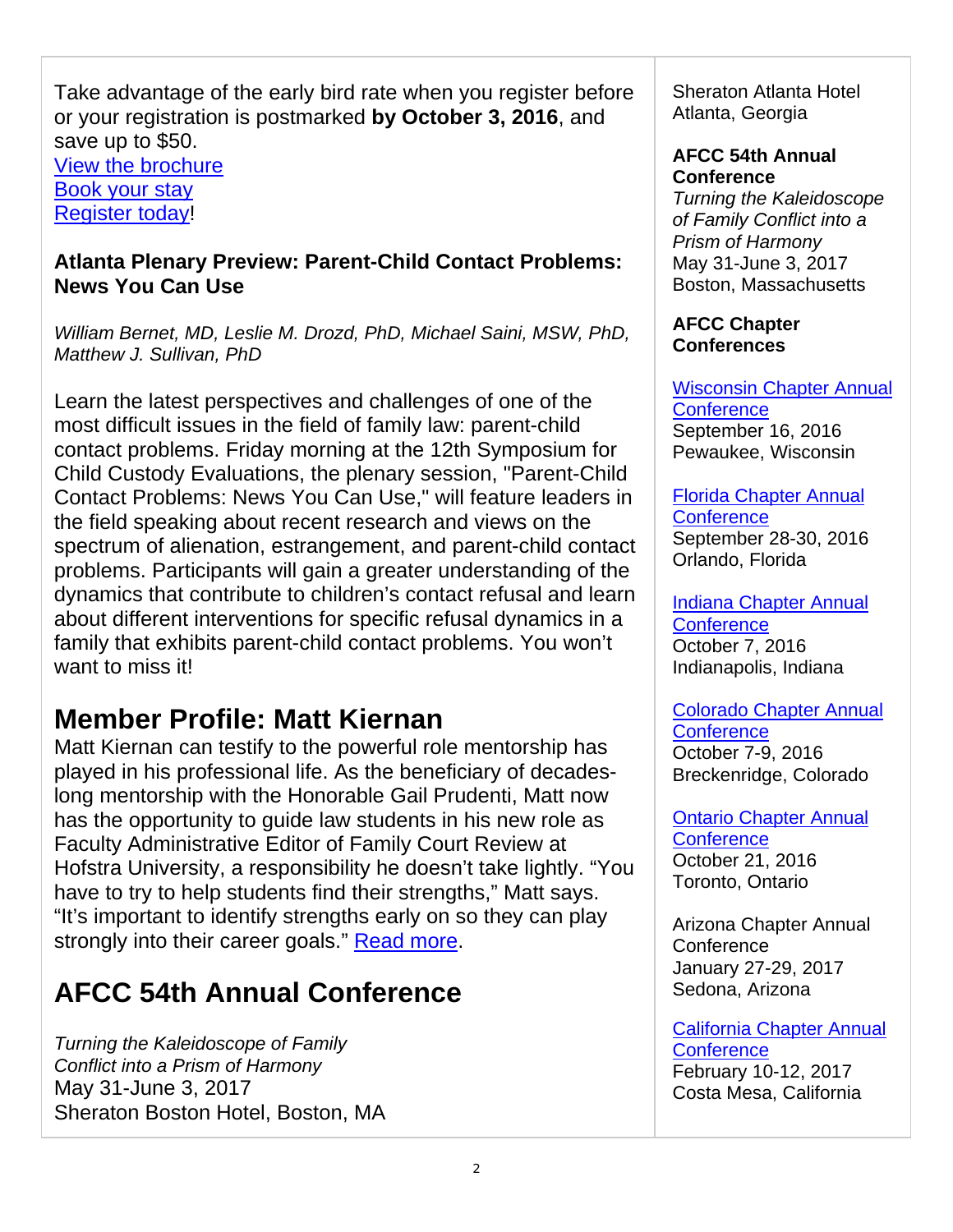Take advantage of the early bird rate when you register before or your registration is postmarked **by October 3, 2016**, and save up to \$50. View the brochure Book your stay Register today!

### **Atlanta Plenary Preview: Parent-Child Contact Problems: News You Can Use**

*William Bernet, MD, Leslie M. Drozd, PhD, Michael Saini, MSW, PhD, Matthew J. Sullivan, PhD*

Learn the latest perspectives and challenges of one of the most difficult issues in the field of family law: parent-child contact problems. Friday morning at the 12th Symposium for Child Custody Evaluations, the plenary session, "Parent-Child Contact Problems: News You Can Use," will feature leaders in the field speaking about recent research and views on the spectrum of alienation, estrangement, and parent-child contact problems. Participants will gain a greater understanding of the dynamics that contribute to children's contact refusal and learn about different interventions for specific refusal dynamics in a family that exhibits parent-child contact problems. You won't want to miss it!

## **Member Profile: Matt Kiernan**

Matt Kiernan can testify to the powerful role mentorship has played in his professional life. As the beneficiary of decadeslong mentorship with the Honorable Gail Prudenti, Matt now has the opportunity to guide law students in his new role as Faculty Administrative Editor of Family Court Review at Hofstra University, a responsibility he doesn't take lightly. "You have to try to help students find their strengths," Matt says. "It's important to identify strengths early on so they can play strongly into their career goals." Read more.

# **AFCC 54th Annual Conference**

*Turning the Kaleidoscope of Family Conflict into a Prism of Harmony*  May 31-June 3, 2017 Sheraton Boston Hotel, Boston, MA Sheraton Atlanta Hotel Atlanta, Georgia

#### **AFCC 54th Annual Conference**

*Turning the Kaleidoscope of Family Conflict into a Prism of Harmony* May 31-June 3, 2017 Boston, Massachusetts

### **AFCC Chapter Conferences**

Wisconsin Chapter Annual **Conference** September 16, 2016 Pewaukee, Wisconsin

#### Florida Chapter Annual **Conference** September 28-30, 2016 Orlando, Florida

Indiana Chapter Annual **Conference** October 7, 2016 Indianapolis, Indiana

Colorado Chapter Annual **Conference** October 7-9, 2016 Breckenridge, Colorado

Ontario Chapter Annual **Conference** October 21, 2016 Toronto, Ontario

Arizona Chapter Annual **Conference** January 27-29, 2017 Sedona, Arizona

California Chapter Annual **Conference** February 10-12, 2017 Costa Mesa, California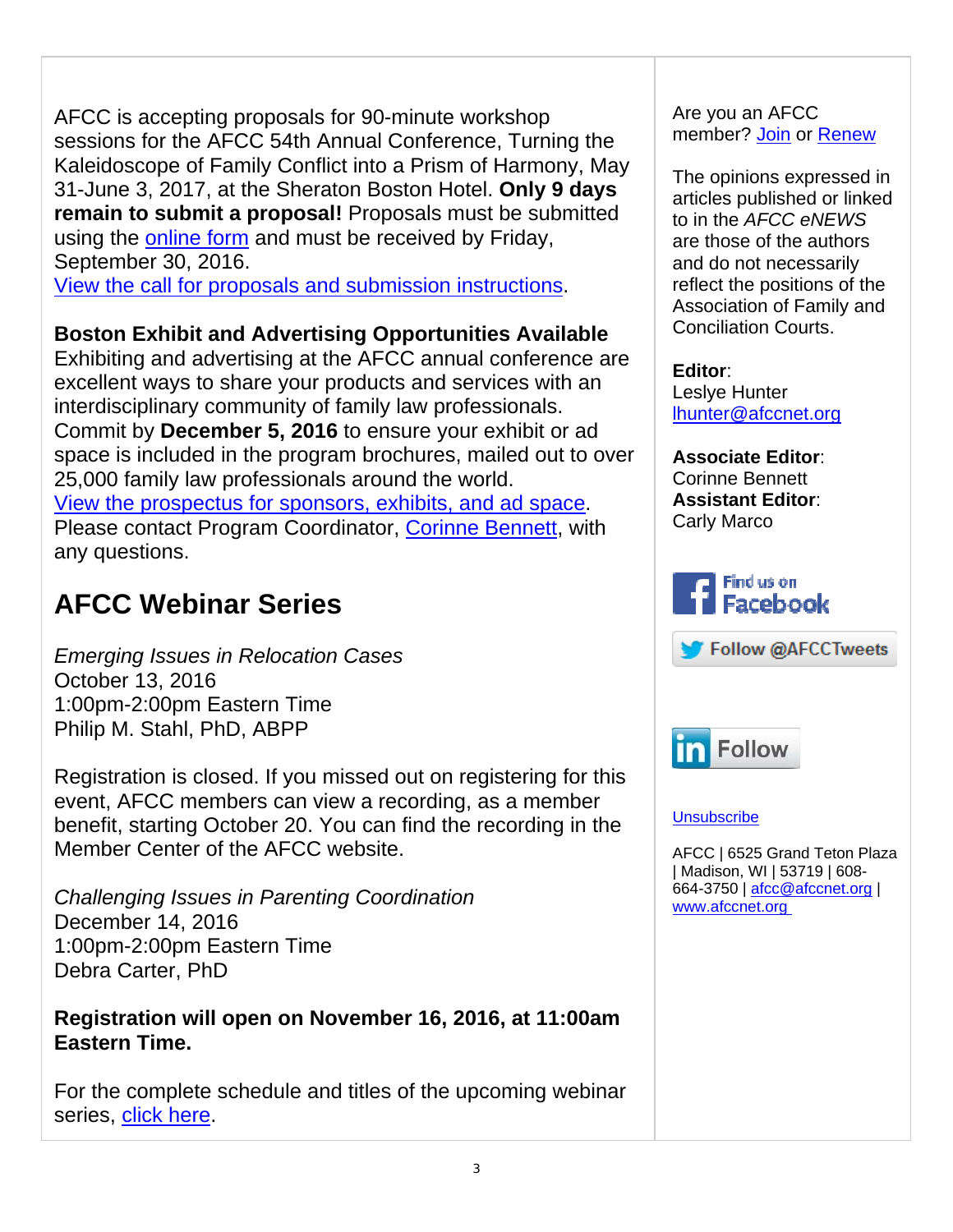AFCC is accepting proposals for 90-minute workshop sessions for the AFCC 54th Annual Conference, Turning the Kaleidoscope of Family Conflict into a Prism of Harmony, May 31-June 3, 2017, at the Sheraton Boston Hotel. **Only 9 days remain to submit a proposal!** Proposals must be submitted using the online form and must be received by Friday, September 30, 2016.

View the call for proposals and submission instructions.

### **Boston Exhibit and Advertising Opportunities Available**

Exhibiting and advertising at the AFCC annual conference are excellent ways to share your products and services with an interdisciplinary community of family law professionals. Commit by **December 5, 2016** to ensure your exhibit or ad space is included in the program brochures, mailed out to over 25,000 family law professionals around the world. View the prospectus for sponsors, exhibits, and ad space. Please contact Program Coordinator, Corinne Bennett, with any questions.

## **AFCC Webinar Series**

*Emerging Issues in Relocation Cases* October 13, 2016 1:00pm-2:00pm Eastern Time Philip M. Stahl, PhD, ABPP

Registration is closed. If you missed out on registering for this event, AFCC members can view a recording, as a member benefit, starting October 20. You can find the recording in the Member Center of the AFCC website.

*Challenging Issues in Parenting Coordination* December 14, 2016 1:00pm-2:00pm Eastern Time Debra Carter, PhD

**Registration will open on November 16, 2016, at 11:00am Eastern Time.**

For the complete schedule and titles of the upcoming webinar series, click here.

Are you an AFCC member? Join or Renew

The opinions expressed in articles published or linked to in the *AFCC eNEWS* are those of the authors and do not necessarily reflect the positions of the Association of Family and Conciliation Courts.

**Editor**: Leslye Hunter lhunter@afccnet.org

**Associate Editor**: Corinne Bennett **Assistant Editor**: Carly Marco







#### **Unsubscribe**

AFCC | 6525 Grand Teton Plaza | Madison, WI | 53719 | 608- 664-3750 | afcc@afccnet.org | www.afccnet.org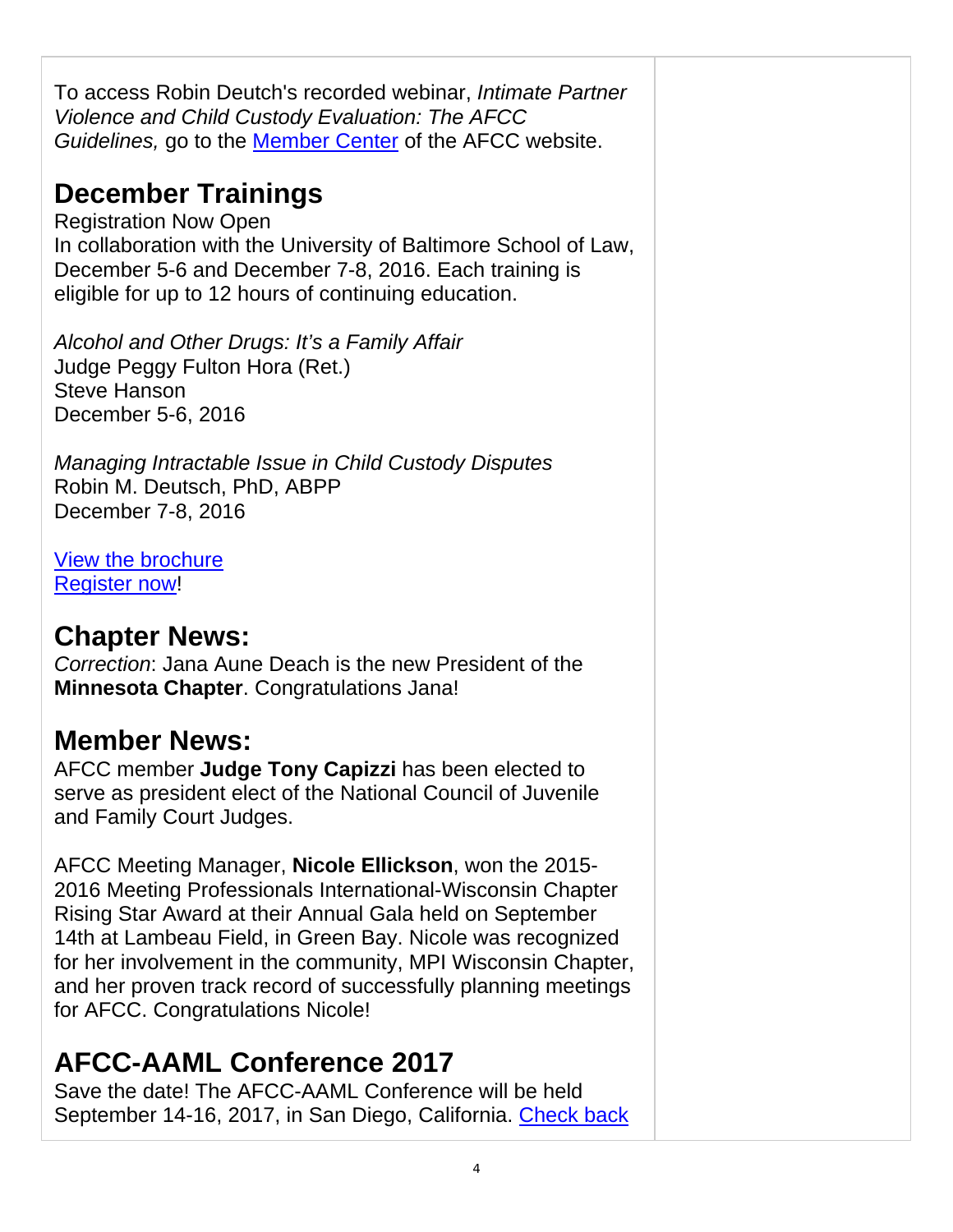To access Robin Deutch's recorded webinar, *Intimate Partner Violence and Child Custody Evaluation: The AFCC Guidelines,* go to the Member Center of the AFCC website.

# **December Trainings**

Registration Now Open In collaboration with the University of Baltimore School of Law, December 5-6 and December 7-8, 2016. Each training is eligible for up to 12 hours of continuing education.

*Alcohol and Other Drugs: It's a Family Affair* Judge Peggy Fulton Hora (Ret.) Steve Hanson December 5-6, 2016

*Managing Intractable Issue in Child Custody Disputes* Robin M. Deutsch, PhD, ABPP December 7-8, 2016

View the brochure Register now!

## **Chapter News:**

*Correction*: Jana Aune Deach is the new President of the **Minnesota Chapter**. Congratulations Jana!

## **Member News:**

AFCC member **Judge Tony Capizzi** has been elected to serve as president elect of the National Council of Juvenile and Family Court Judges.

AFCC Meeting Manager, **Nicole Ellickson**, won the 2015- 2016 Meeting Professionals International-Wisconsin Chapter Rising Star Award at their Annual Gala held on September 14th at Lambeau Field, in Green Bay. Nicole was recognized for her involvement in the community, MPI Wisconsin Chapter, and her proven track record of successfully planning meetings for AFCC. Congratulations Nicole!

# **AFCC-AAML Conference 2017**

Save the date! The AFCC-AAML Conference will be held September 14-16, 2017, in San Diego, California. Check back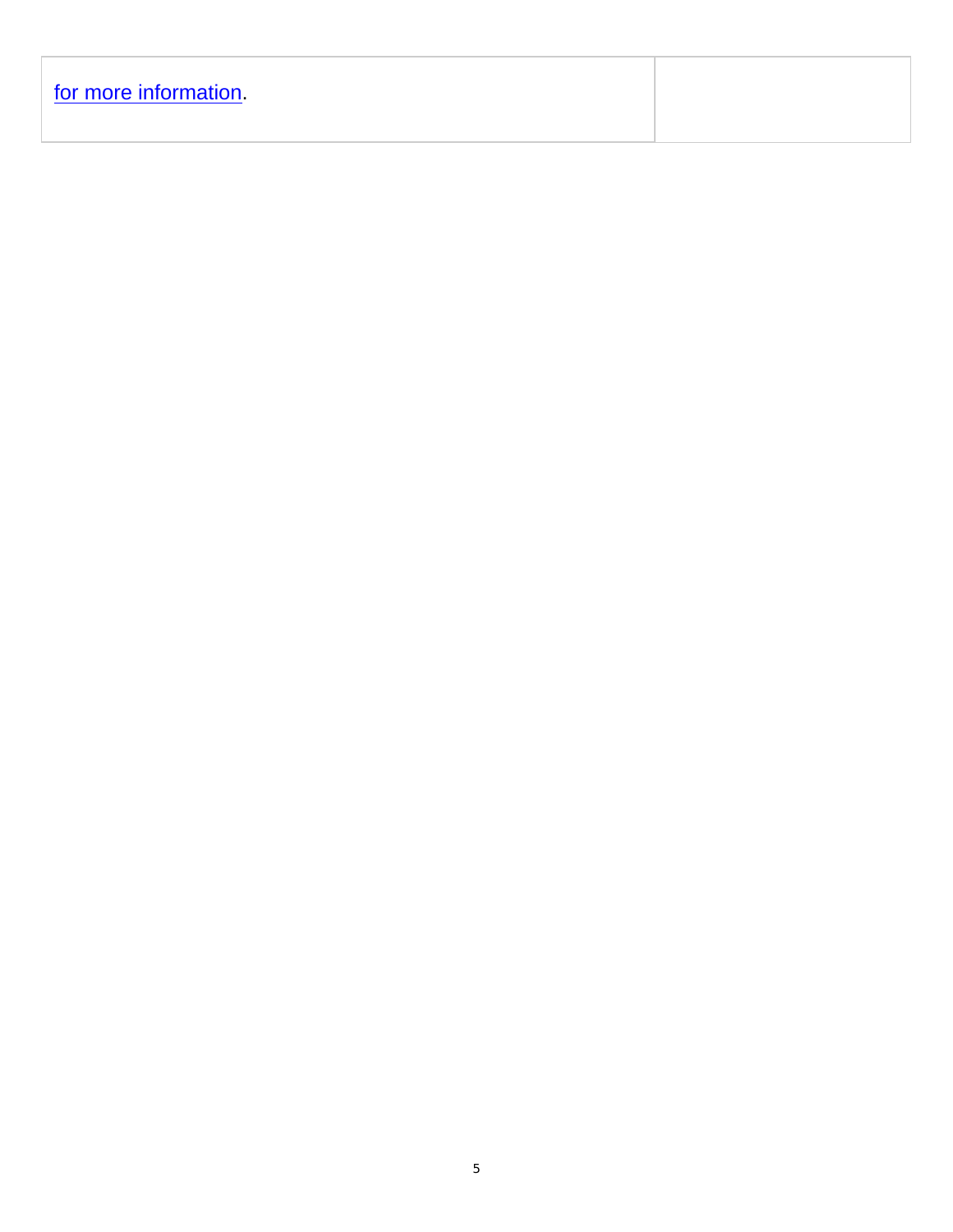| for more information |  |  |  |
|----------------------|--|--|--|
|                      |  |  |  |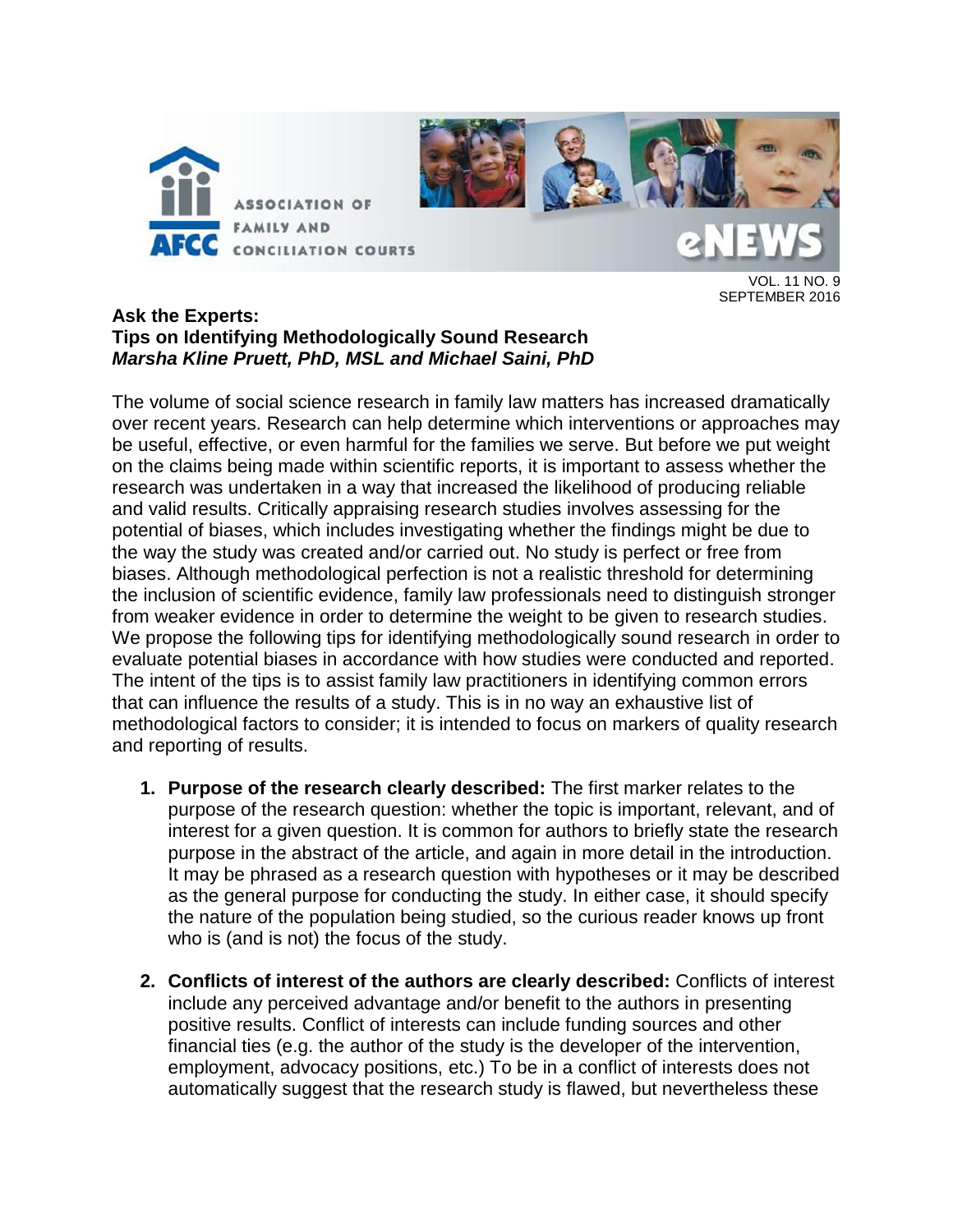

VOL. 11 NO. 9 SEPTEMBER 2016

#### **Ask the Experts: Tips on Identifying Methodologically Sound Research** *Marsha Kline Pruett, PhD, MSL and Michael Saini, PhD*

The volume of social science research in family law matters has increased dramatically over recent years. Research can help determine which interventions or approaches may be useful, effective, or even harmful for the families we serve. But before we put weight on the claims being made within scientific reports, it is important to assess whether the research was undertaken in a way that increased the likelihood of producing reliable and valid results. Critically appraising research studies involves assessing for the potential of biases, which includes investigating whether the findings might be due to the way the study was created and/or carried out. No study is perfect or free from biases. Although methodological perfection is not a realistic threshold for determining the inclusion of scientific evidence, family law professionals need to distinguish stronger from weaker evidence in order to determine the weight to be given to research studies. We propose the following tips for identifying methodologically sound research in order to evaluate potential biases in accordance with how studies were conducted and reported. The intent of the tips is to assist family law practitioners in identifying common errors that can influence the results of a study. This is in no way an exhaustive list of methodological factors to consider; it is intended to focus on markers of quality research and reporting of results.

- **1. Purpose of the research clearly described:** The first marker relates to the purpose of the research question: whether the topic is important, relevant, and of interest for a given question. It is common for authors to briefly state the research purpose in the abstract of the article, and again in more detail in the introduction. It may be phrased as a research question with hypotheses or it may be described as the general purpose for conducting the study. In either case, it should specify the nature of the population being studied, so the curious reader knows up front who is (and is not) the focus of the study.
- **2. Conflicts of interest of the authors are clearly described:** Conflicts of interest include any perceived advantage and/or benefit to the authors in presenting positive results. Conflict of interests can include funding sources and other financial ties (e.g. the author of the study is the developer of the intervention, employment, advocacy positions, etc.) To be in a conflict of interests does not automatically suggest that the research study is flawed, but nevertheless these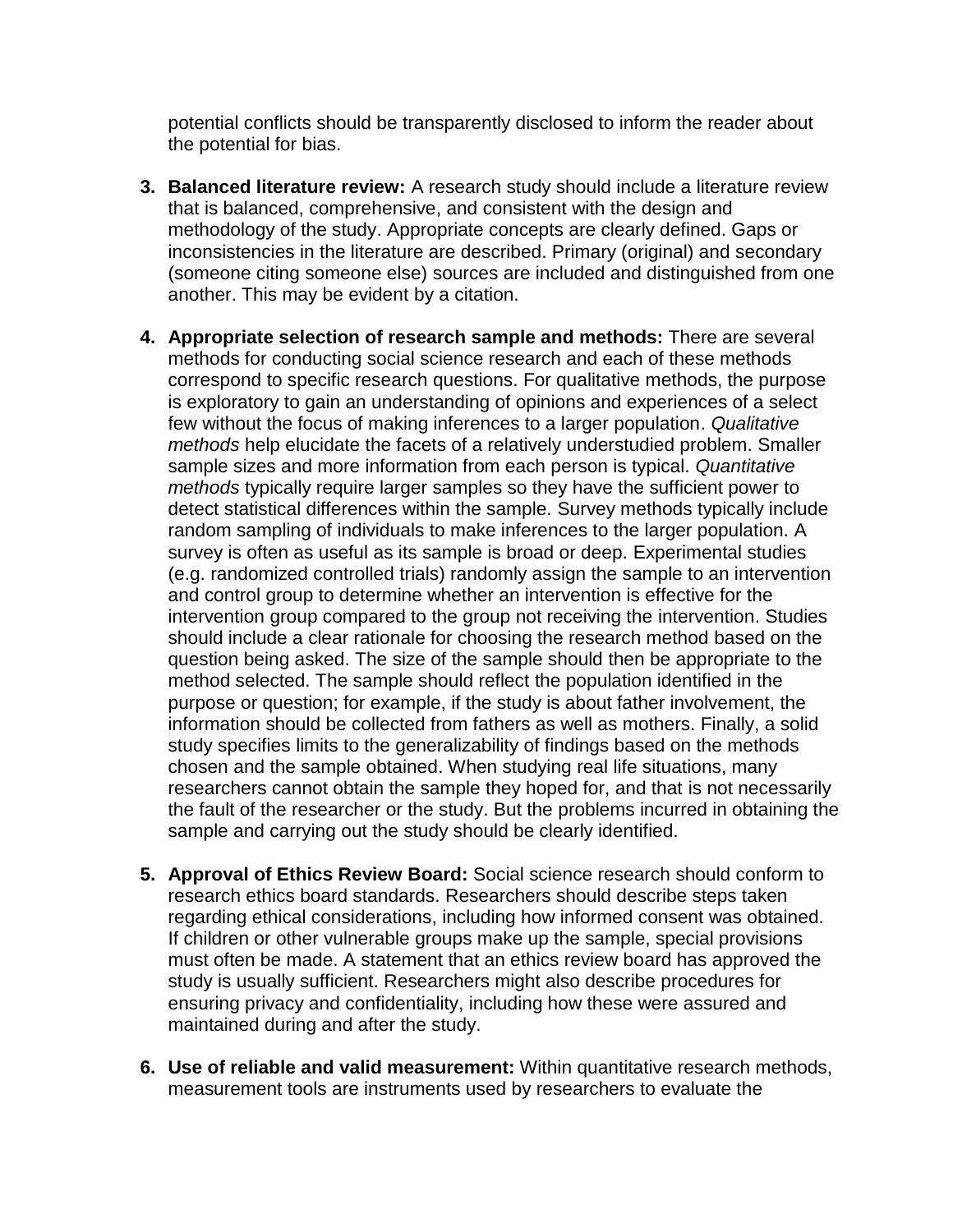potential conflicts should be transparently disclosed to inform the reader about the potential for bias.

- **3. Balanced literature review:** A research study should include a literature review that is balanced, comprehensive, and consistent with the design and methodology of the study. Appropriate concepts are clearly defined. Gaps or inconsistencies in the literature are described. Primary (original) and secondary (someone citing someone else) sources are included and distinguished from one another. This may be evident by a citation.
- **4. Appropriate selection of research sample and methods:** There are several methods for conducting social science research and each of these methods correspond to specific research questions. For qualitative methods, the purpose is exploratory to gain an understanding of opinions and experiences of a select few without the focus of making inferences to a larger population. *Qualitative methods* help elucidate the facets of a relatively understudied problem. Smaller sample sizes and more information from each person is typical. *Quantitative methods* typically require larger samples so they have the sufficient power to detect statistical differences within the sample. Survey methods typically include random sampling of individuals to make inferences to the larger population. A survey is often as useful as its sample is broad or deep. Experimental studies (e.g. randomized controlled trials) randomly assign the sample to an intervention and control group to determine whether an intervention is effective for the intervention group compared to the group not receiving the intervention. Studies should include a clear rationale for choosing the research method based on the question being asked. The size of the sample should then be appropriate to the method selected. The sample should reflect the population identified in the purpose or question; for example, if the study is about father involvement, the information should be collected from fathers as well as mothers. Finally, a solid study specifies limits to the generalizability of findings based on the methods chosen and the sample obtained. When studying real life situations, many researchers cannot obtain the sample they hoped for, and that is not necessarily the fault of the researcher or the study. But the problems incurred in obtaining the sample and carrying out the study should be clearly identified.
- **5. Approval of Ethics Review Board:** Social science research should conform to research ethics board standards. Researchers should describe steps taken regarding ethical considerations, including how informed consent was obtained. If children or other vulnerable groups make up the sample, special provisions must often be made. A statement that an ethics review board has approved the study is usually sufficient. Researchers might also describe procedures for ensuring privacy and confidentiality, including how these were assured and maintained during and after the study.
- **6. Use of reliable and valid measurement:** Within quantitative research methods, measurement tools are instruments used by researchers to evaluate the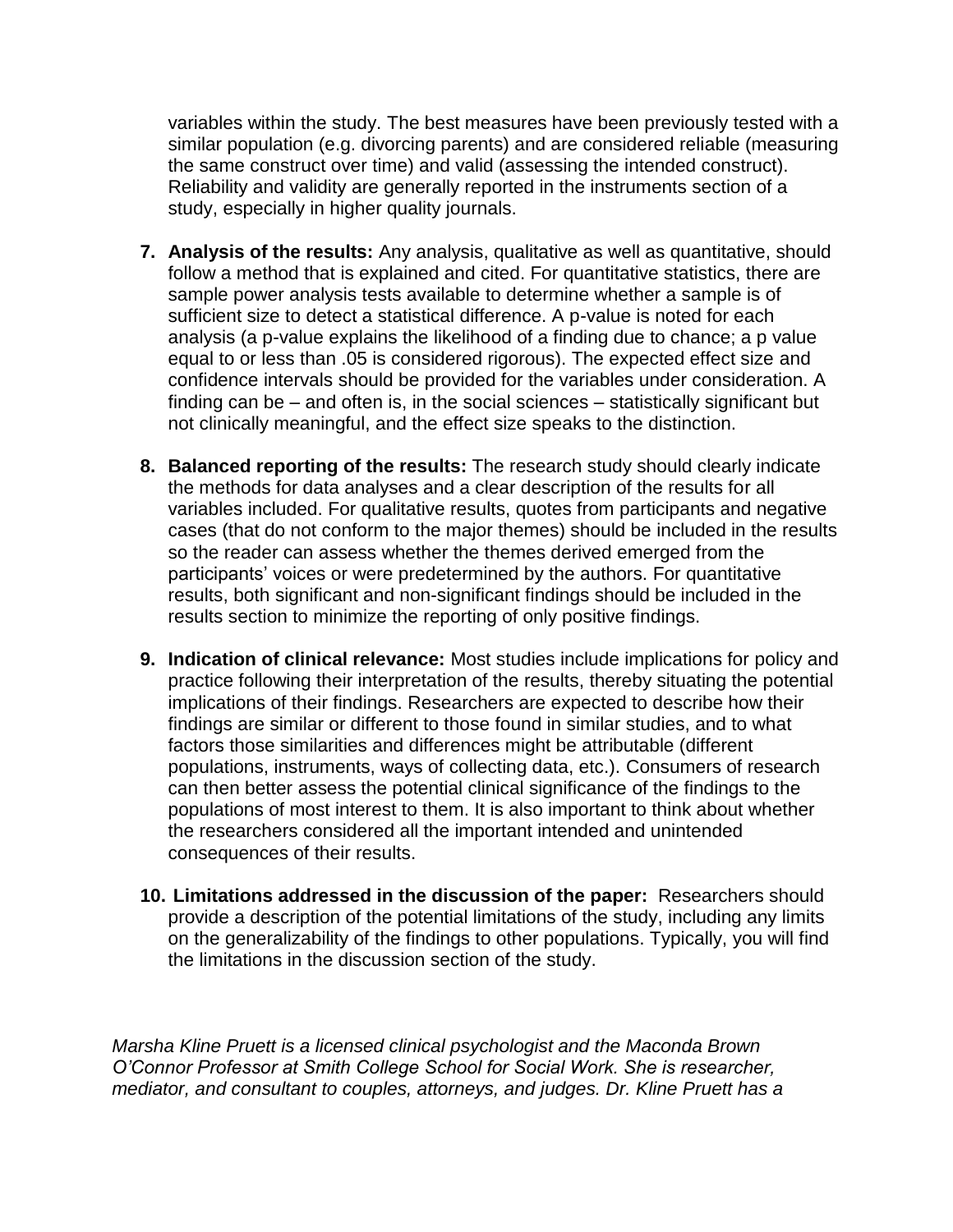variables within the study. The best measures have been previously tested with a similar population (e.g. divorcing parents) and are considered reliable (measuring the same construct over time) and valid (assessing the intended construct). Reliability and validity are generally reported in the instruments section of a study, especially in higher quality journals.

- **7. Analysis of the results:** Any analysis, qualitative as well as quantitative, should follow a method that is explained and cited. For quantitative statistics, there are sample power analysis tests available to determine whether a sample is of sufficient size to detect a statistical difference. A p-value is noted for each analysis (a p-value explains the likelihood of a finding due to chance; a p value equal to or less than .05 is considered rigorous). The expected effect size and confidence intervals should be provided for the variables under consideration. A finding can be – and often is, in the social sciences – statistically significant but not clinically meaningful, and the effect size speaks to the distinction.
- **8. Balanced reporting of the results:** The research study should clearly indicate the methods for data analyses and a clear description of the results for all variables included. For qualitative results, quotes from participants and negative cases (that do not conform to the major themes) should be included in the results so the reader can assess whether the themes derived emerged from the participants' voices or were predetermined by the authors. For quantitative results, both significant and non-significant findings should be included in the results section to minimize the reporting of only positive findings.
- **9. Indication of clinical relevance:** Most studies include implications for policy and practice following their interpretation of the results, thereby situating the potential implications of their findings. Researchers are expected to describe how their findings are similar or different to those found in similar studies, and to what factors those similarities and differences might be attributable (different populations, instruments, ways of collecting data, etc.). Consumers of research can then better assess the potential clinical significance of the findings to the populations of most interest to them. It is also important to think about whether the researchers considered all the important intended and unintended consequences of their results.
- **10. Limitations addressed in the discussion of the paper:** Researchers should provide a description of the potential limitations of the study, including any limits on the generalizability of the findings to other populations. Typically, you will find the limitations in the discussion section of the study.

*Marsha Kline Pruett is a licensed clinical psychologist and the Maconda Brown O'Connor Professor at Smith College School for Social Work. She is researcher, mediator, and consultant to couples, attorneys, and judges. Dr. Kline Pruett has a*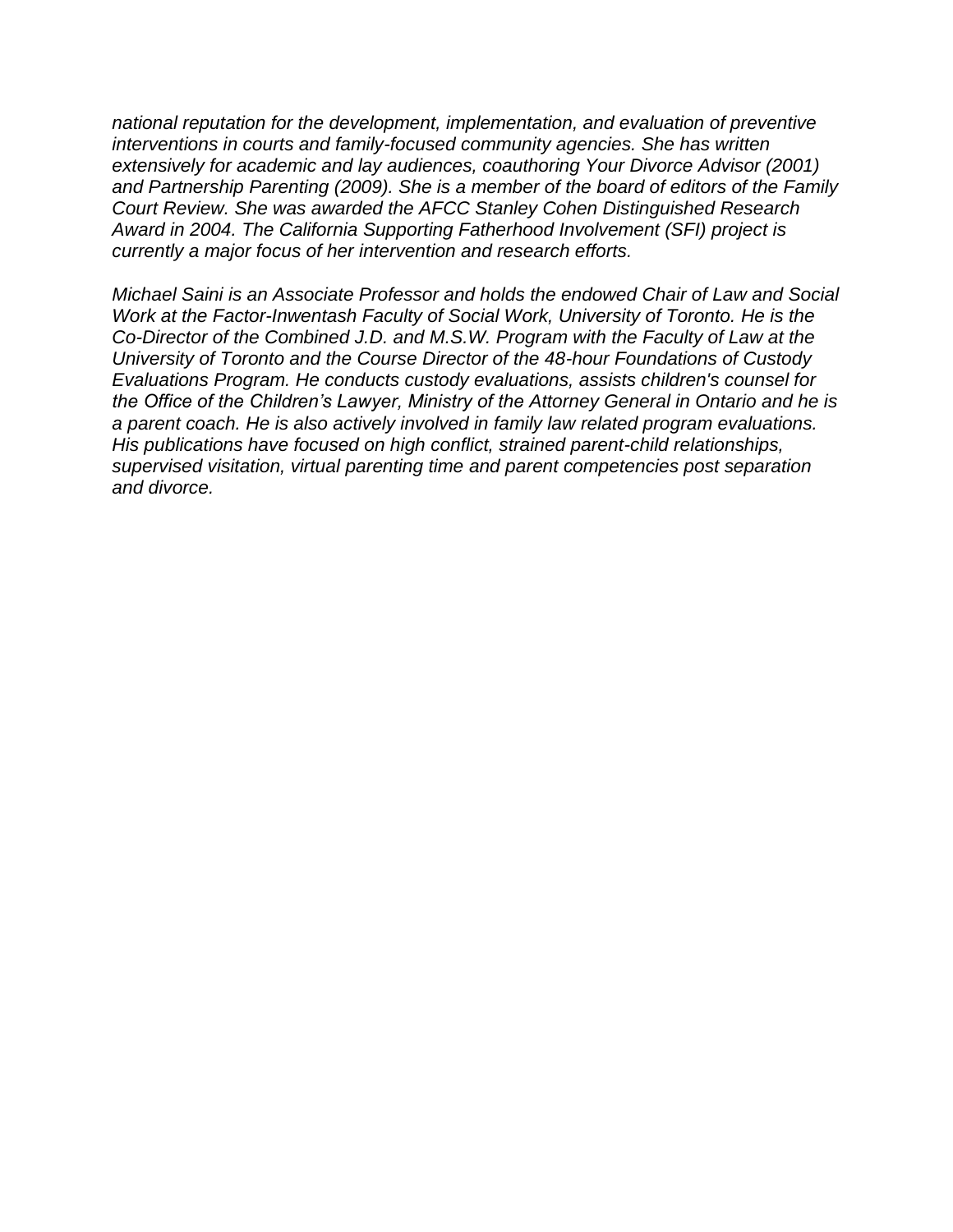*national reputation for the development, implementation, and evaluation of preventive interventions in courts and family-focused community agencies. She has written extensively for academic and lay audiences, coauthoring Your Divorce Advisor (2001) and Partnership Parenting (2009). She is a member of the board of editors of the Family Court Review. She was awarded the AFCC Stanley Cohen Distinguished Research Award in 2004. The California Supporting Fatherhood Involvement (SFI) project is currently a major focus of her intervention and research efforts.*

*Michael Saini is an Associate Professor and holds the endowed Chair of Law and Social Work at the Factor-Inwentash Faculty of Social Work, University of Toronto. He is the Co-Director of the Combined J.D. and M.S.W. Program with the Faculty of Law at the University of Toronto and the Course Director of the 48-hour Foundations of Custody Evaluations Program. He conducts custody evaluations, assists children's counsel for the Office of the Children's Lawyer, Ministry of the Attorney General in Ontario and he is a parent coach. He is also actively involved in family law related program evaluations. His publications have focused on high conflict, strained parent-child relationships, supervised visitation, virtual parenting time and parent competencies post separation and divorce.*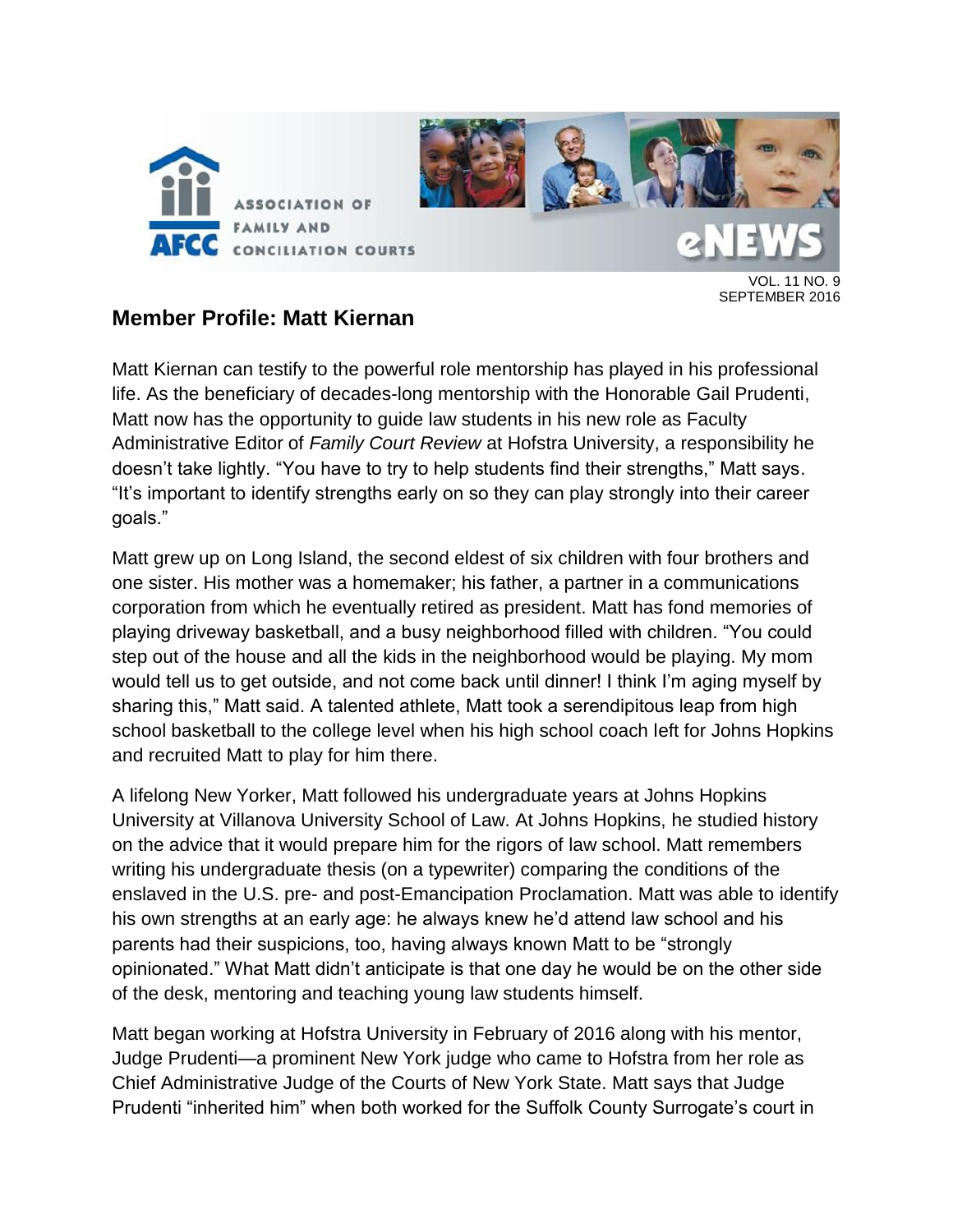

VOL. 11 NO. 9 SEPTEMBER 2016

### **Member Profile: Matt Kiernan**

Matt Kiernan can testify to the powerful role mentorship has played in his professional life. As the beneficiary of decades-long mentorship with the Honorable Gail Prudenti, Matt now has the opportunity to guide law students in his new role as Faculty Administrative Editor of *Family Court Review* at Hofstra University, a responsibility he doesn't take lightly. "You have to try to help students find their strengths," Matt says. "It's important to identify strengths early on so they can play strongly into their career goals."

Matt grew up on Long Island, the second eldest of six children with four brothers and one sister. His mother was a homemaker; his father, a partner in a communications corporation from which he eventually retired as president. Matt has fond memories of playing driveway basketball, and a busy neighborhood filled with children. "You could step out of the house and all the kids in the neighborhood would be playing. My mom would tell us to get outside, and not come back until dinner! I think I'm aging myself by sharing this," Matt said. A talented athlete, Matt took a serendipitous leap from high school basketball to the college level when his high school coach left for Johns Hopkins and recruited Matt to play for him there.

A lifelong New Yorker, Matt followed his undergraduate years at Johns Hopkins University at Villanova University School of Law. At Johns Hopkins, he studied history on the advice that it would prepare him for the rigors of law school. Matt remembers writing his undergraduate thesis (on a typewriter) comparing the conditions of the enslaved in the U.S. pre- and post-Emancipation Proclamation. Matt was able to identify his own strengths at an early age: he always knew he'd attend law school and his parents had their suspicions, too, having always known Matt to be "strongly opinionated." What Matt didn't anticipate is that one day he would be on the other side of the desk, mentoring and teaching young law students himself.

Matt began working at Hofstra University in February of 2016 along with his mentor, Judge Prudenti—a prominent New York judge who came to Hofstra from her role as Chief Administrative Judge of the Courts of New York State. Matt says that Judge Prudenti "inherited him" when both worked for the Suffolk County Surrogate's court in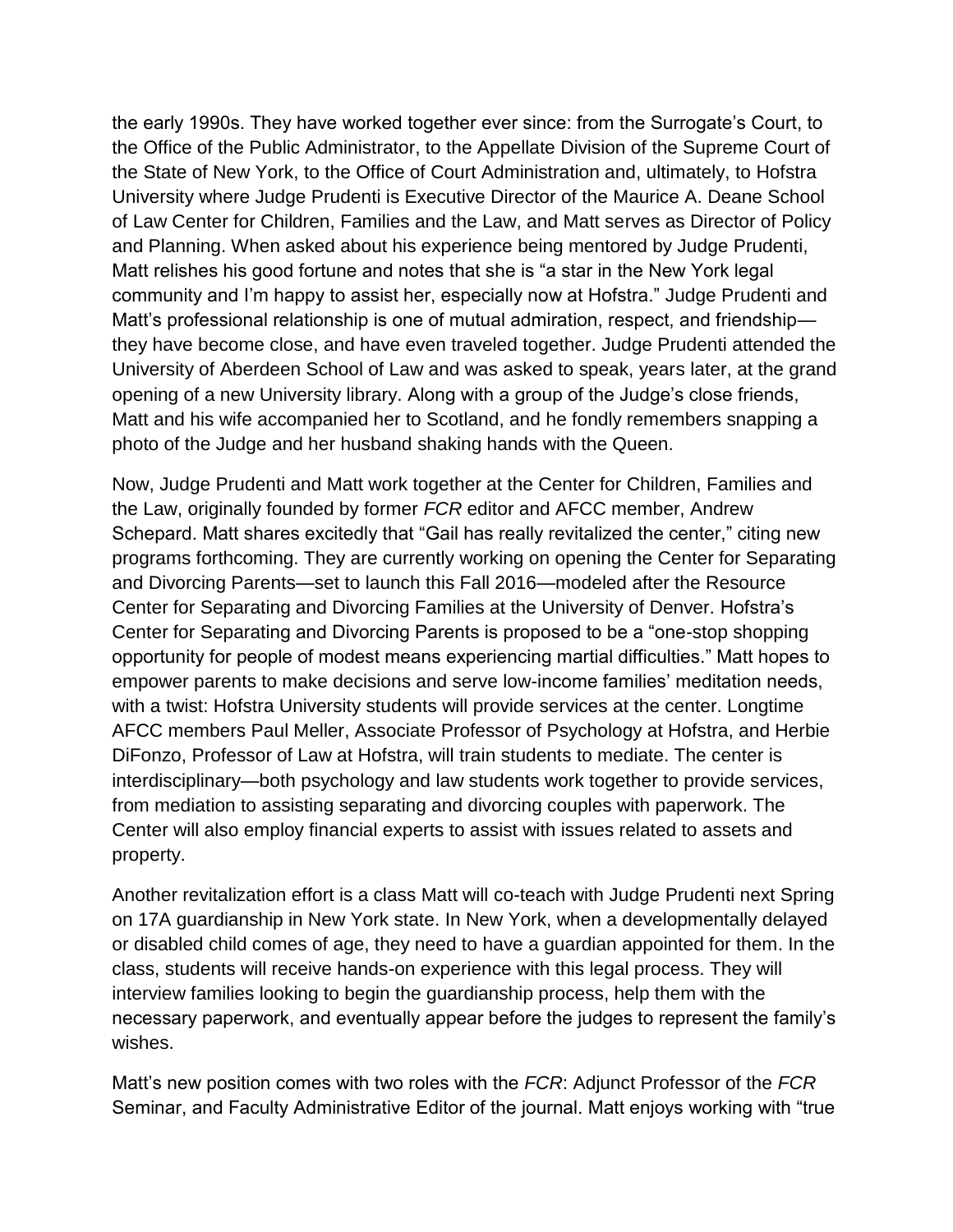the early 1990s. They have worked together ever since: from the Surrogate's Court, to the Office of the Public Administrator, to the Appellate Division of the Supreme Court of the State of New York, to the Office of Court Administration and, ultimately, to Hofstra University where Judge Prudenti is Executive Director of the Maurice A. Deane School of Law Center for Children, Families and the Law, and Matt serves as Director of Policy and Planning. When asked about his experience being mentored by Judge Prudenti, Matt relishes his good fortune and notes that she is "a star in the New York legal community and I'm happy to assist her, especially now at Hofstra." Judge Prudenti and Matt's professional relationship is one of mutual admiration, respect, and friendship they have become close, and have even traveled together. Judge Prudenti attended the University of Aberdeen School of Law and was asked to speak, years later, at the grand opening of a new University library. Along with a group of the Judge's close friends, Matt and his wife accompanied her to Scotland, and he fondly remembers snapping a photo of the Judge and her husband shaking hands with the Queen.

Now, Judge Prudenti and Matt work together at the Center for Children, Families and the Law, originally founded by former *FCR* editor and AFCC member, Andrew Schepard. Matt shares excitedly that "Gail has really revitalized the center," citing new programs forthcoming. They are currently working on opening the Center for Separating and Divorcing Parents—set to launch this Fall 2016—modeled after the Resource Center for Separating and Divorcing Families at the University of Denver. Hofstra's Center for Separating and Divorcing Parents is proposed to be a "one-stop shopping opportunity for people of modest means experiencing martial difficulties." Matt hopes to empower parents to make decisions and serve low-income families' meditation needs, with a twist: Hofstra University students will provide services at the center. Longtime AFCC members Paul Meller, Associate Professor of Psychology at Hofstra, and Herbie DiFonzo, Professor of Law at Hofstra, will train students to mediate. The center is interdisciplinary—both psychology and law students work together to provide services, from mediation to assisting separating and divorcing couples with paperwork. The Center will also employ financial experts to assist with issues related to assets and property.

Another revitalization effort is a class Matt will co-teach with Judge Prudenti next Spring on 17A guardianship in New York state. In New York, when a developmentally delayed or disabled child comes of age, they need to have a guardian appointed for them. In the class, students will receive hands-on experience with this legal process. They will interview families looking to begin the guardianship process, help them with the necessary paperwork, and eventually appear before the judges to represent the family's wishes.

Matt's new position comes with two roles with the *FCR*: Adjunct Professor of the *FCR* Seminar, and Faculty Administrative Editor of the journal. Matt enjoys working with "true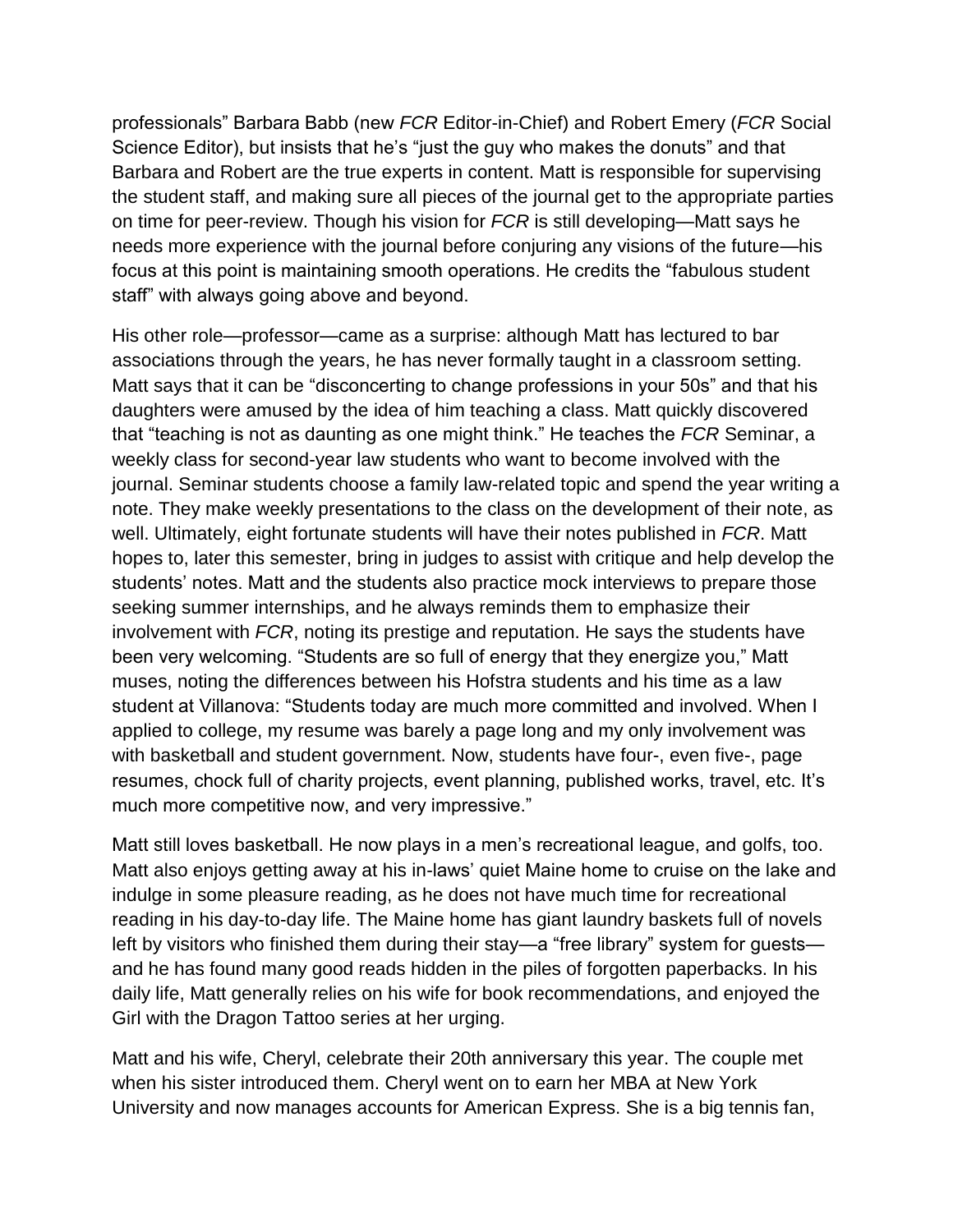professionals" Barbara Babb (new *FCR* Editor-in-Chief) and Robert Emery (*FCR* Social Science Editor), but insists that he's "just the guy who makes the donuts" and that Barbara and Robert are the true experts in content. Matt is responsible for supervising the student staff, and making sure all pieces of the journal get to the appropriate parties on time for peer-review. Though his vision for *FCR* is still developing—Matt says he needs more experience with the journal before conjuring any visions of the future—his focus at this point is maintaining smooth operations. He credits the "fabulous student staff" with always going above and beyond.

His other role—professor—came as a surprise: although Matt has lectured to bar associations through the years, he has never formally taught in a classroom setting. Matt says that it can be "disconcerting to change professions in your 50s" and that his daughters were amused by the idea of him teaching a class. Matt quickly discovered that "teaching is not as daunting as one might think." He teaches the *FCR* Seminar, a weekly class for second-year law students who want to become involved with the journal. Seminar students choose a family law-related topic and spend the year writing a note. They make weekly presentations to the class on the development of their note, as well. Ultimately, eight fortunate students will have their notes published in *FCR*. Matt hopes to, later this semester, bring in judges to assist with critique and help develop the students' notes. Matt and the students also practice mock interviews to prepare those seeking summer internships, and he always reminds them to emphasize their involvement with *FCR*, noting its prestige and reputation. He says the students have been very welcoming. "Students are so full of energy that they energize you," Matt muses, noting the differences between his Hofstra students and his time as a law student at Villanova: "Students today are much more committed and involved. When I applied to college, my resume was barely a page long and my only involvement was with basketball and student government. Now, students have four-, even five-, page resumes, chock full of charity projects, event planning, published works, travel, etc. It's much more competitive now, and very impressive."

Matt still loves basketball. He now plays in a men's recreational league, and golfs, too. Matt also enjoys getting away at his in-laws' quiet Maine home to cruise on the lake and indulge in some pleasure reading, as he does not have much time for recreational reading in his day-to-day life. The Maine home has giant laundry baskets full of novels left by visitors who finished them during their stay—a "free library" system for guests and he has found many good reads hidden in the piles of forgotten paperbacks. In his daily life, Matt generally relies on his wife for book recommendations, and enjoyed the Girl with the Dragon Tattoo series at her urging.

Matt and his wife, Cheryl, celebrate their 20th anniversary this year. The couple met when his sister introduced them. Cheryl went on to earn her MBA at New York University and now manages accounts for American Express. She is a big tennis fan,